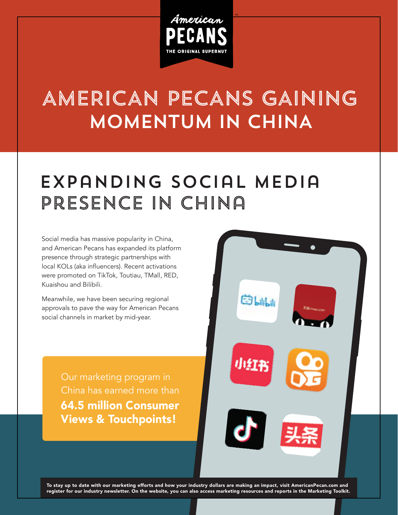

## MOMENTUM IN CHINA AMERICAN PECANS GAINING

## Expanding Social Media Presence in China

Social media has massive popularity in China, and American Pecans has expanded its platform presence through strategic partnerships with local KOLs (aka influencers). Recent activations were promoted on TikTok, Toutiau, TMall, RED, Kuaishou and Bilibili.

Meanwhile, we have been securing regional approvals to pave the way for American Pecans social channels in market by mid-year.

> Our marketing program in China has earned more than 64.5 million Consumer Views & Touchpoints!



To stay up to date with our marketing efforts and how your industry dollars are making an impact, visit AmericanPecan.com and register for our industry newsletter. On the website, you can also access marketing resources and reports in the Marketing Toolkit.